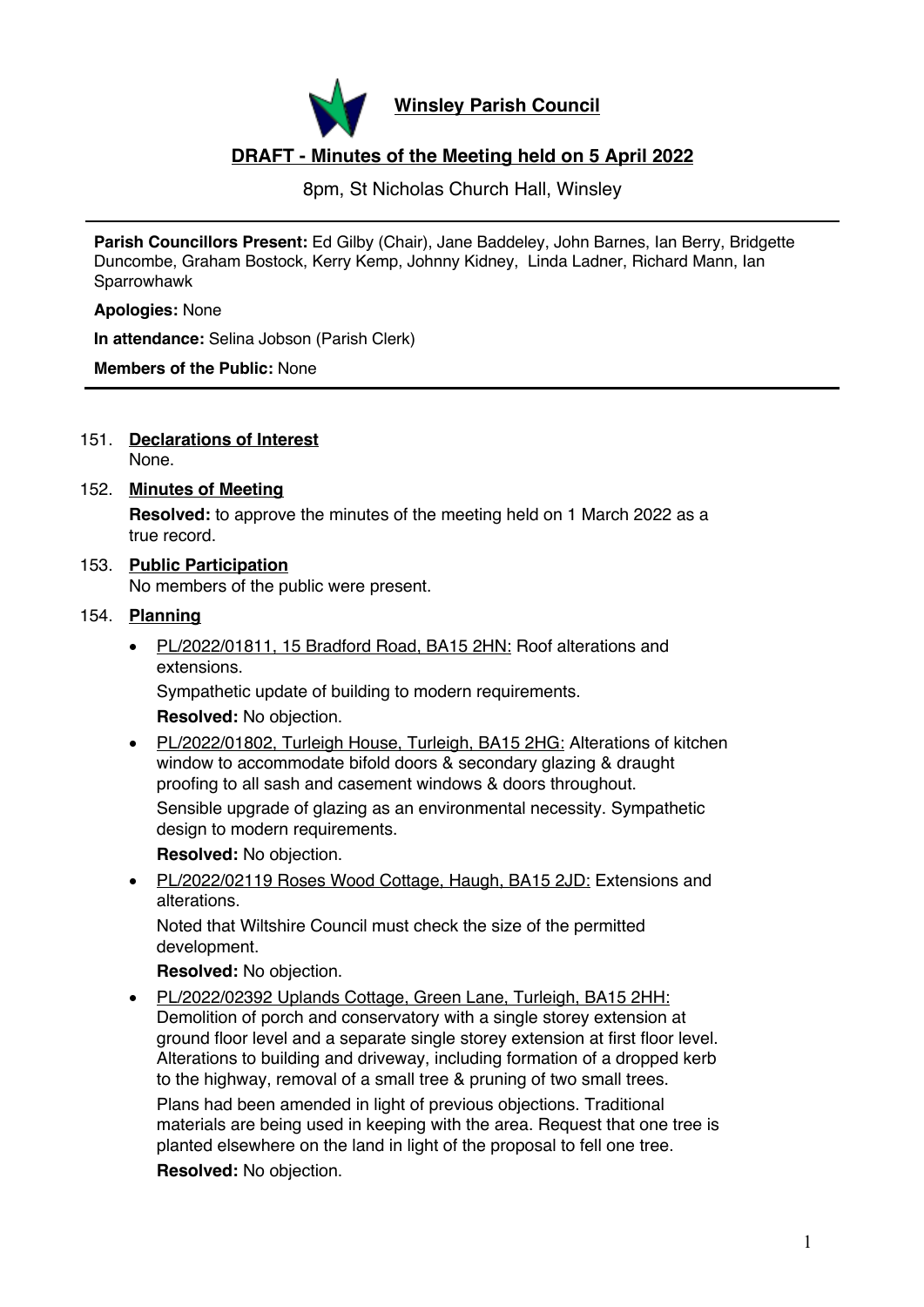

**Winsley Parish Council**

# **DRAFT - Minutes of the Meeting held on 5 April 2022**

8pm, St Nicholas Church Hall, Winsley

**Parish Councillors Present:** Ed Gilby (Chair), Jane Baddeley, John Barnes, Ian Berry, Bridgette Duncombe, Graham Bostock, Kerry Kemp, Johnny Kidney, Linda Ladner, Richard Mann, Ian **Sparrowhawk** 

**Apologies:** None

**In attendance:** Selina Jobson (Parish Clerk)

**Members of the Public:** None

151. **Declarations of Interest** None.

## 152. **Minutes of Meeting**

**Resolved:** to approve the minutes of the meeting held on 1 March 2022 as a true record.

# 153. **Public Participation**

No members of the public were present.

# 154. **Planning**

• PL/2022/01811, 15 Bradford Road, BA15 2HN: Roof alterations and extensions.

Sympathetic update of building to modern requirements.

**Resolved:** No objection.

• PL/2022/01802, Turleigh House, Turleigh, BA15 2HG: Alterations of kitchen window to accommodate bifold doors & secondary glazing & draught proofing to all sash and casement windows & doors throughout. Sensible upgrade of glazing as an environmental necessity. Sympathetic design to modern requirements.

**Resolved:** No objection.

• PL/2022/02119 Roses Wood Cottage, Haugh, BA15 2JD: Extensions and alterations.

Noted that Wiltshire Council must check the size of the permitted development.

# **Resolved:** No objection.

• PL/2022/02392 Uplands Cottage, Green Lane, Turleigh, BA15 2HH: Demolition of porch and conservatory with a single storey extension at ground floor level and a separate single storey extension at first floor level. Alterations to building and driveway, including formation of a dropped kerb to the highway, removal of a small tree & pruning of two small trees.

Plans had been amended in light of previous objections. Traditional materials are being used in keeping with the area. Request that one tree is planted elsewhere on the land in light of the proposal to fell one tree.

**Resolved:** No objection.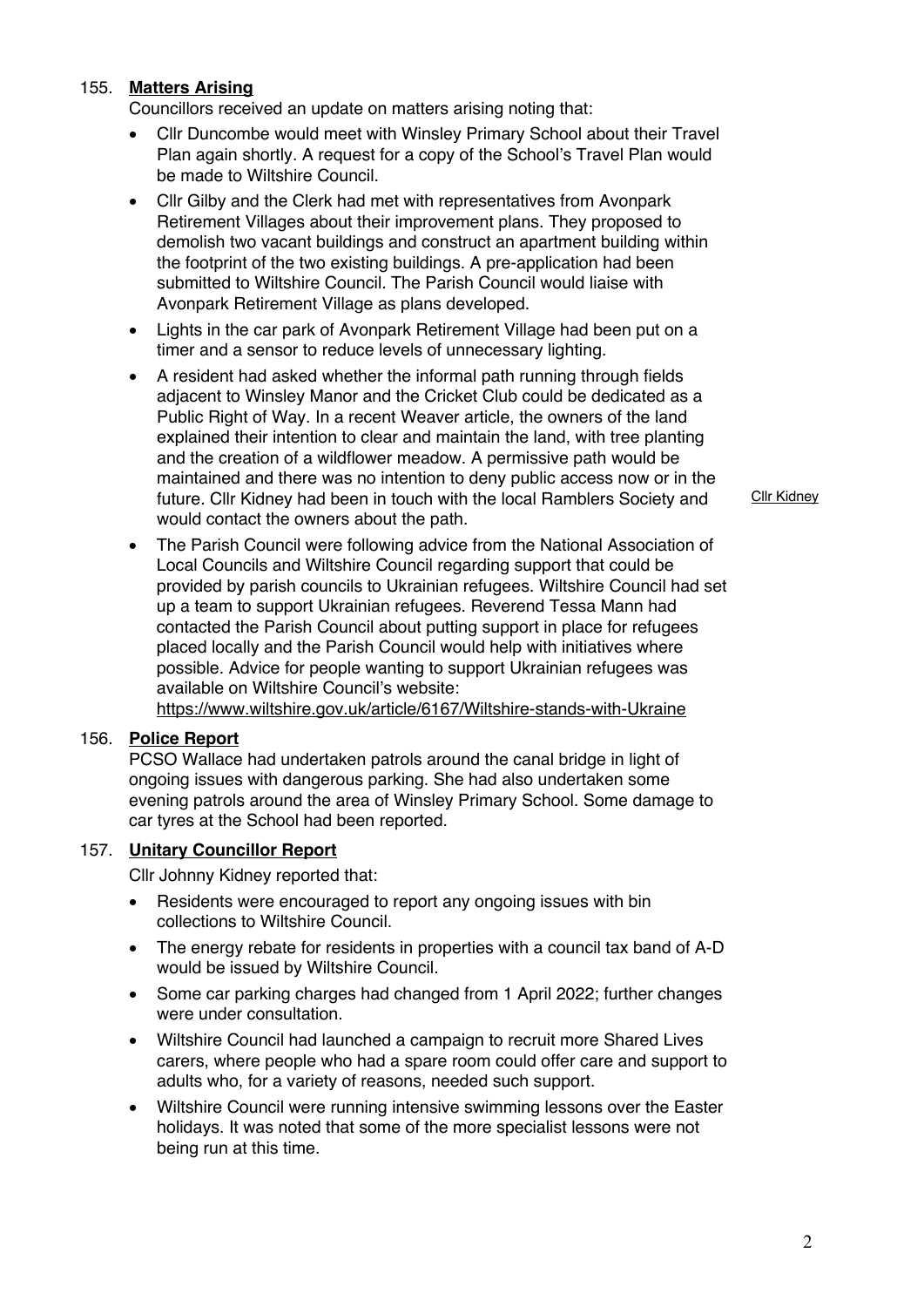# 155. **Matters Arising**

Councillors received an update on matters arising noting that:

- Cllr Duncombe would meet with Winsley Primary School about their Travel Plan again shortly. A request for a copy of the School's Travel Plan would be made to Wiltshire Council.
- Cllr Gilby and the Clerk had met with representatives from Avonpark Retirement Villages about their improvement plans. They proposed to demolish two vacant buildings and construct an apartment building within the footprint of the two existing buildings. A pre-application had been submitted to Wiltshire Council. The Parish Council would liaise with Avonpark Retirement Village as plans developed.
- Lights in the car park of Avonpark Retirement Village had been put on a timer and a sensor to reduce levels of unnecessary lighting.
- A resident had asked whether the informal path running through fields adjacent to Winsley Manor and the Cricket Club could be dedicated as a Public Right of Way. In a recent Weaver article, the owners of the land explained their intention to clear and maintain the land, with tree planting and the creation of a wildflower meadow. A permissive path would be maintained and there was no intention to deny public access now or in the future. Cllr Kidney had been in touch with the local Ramblers Society and would contact the owners about the path.
- The Parish Council were following advice from the National Association of Local Councils and Wiltshire Council regarding support that could be provided by parish councils to Ukrainian refugees. Wiltshire Council had set up a team to support Ukrainian refugees. Reverend Tessa Mann had contacted the Parish Council about putting support in place for refugees placed locally and the Parish Council would help with initiatives where possible. Advice for people wanting to support Ukrainian refugees was available on Wiltshire Council's website:

https://www.wiltshire.gov.uk/article/6167/Wiltshire-stands-with-Ukraine

# 156. **Police Report**

PCSO Wallace had undertaken patrols around the canal bridge in light of ongoing issues with dangerous parking. She had also undertaken some evening patrols around the area of Winsley Primary School. Some damage to car tyres at the School had been reported.

### 157. **Unitary Councillor Report**

Cllr Johnny Kidney reported that:

- Residents were encouraged to report any ongoing issues with bin collections to Wiltshire Council.
- The energy rebate for residents in properties with a council tax band of A-D would be issued by Wiltshire Council.
- Some car parking charges had changed from 1 April 2022; further changes were under consultation.
- Wiltshire Council had launched a campaign to recruit more Shared Lives carers, where people who had a spare room could offer care and support to adults who, for a variety of reasons, needed such support.
- Wiltshire Council were running intensive swimming lessons over the Easter holidays. It was noted that some of the more specialist lessons were not being run at this time.

Cllr Kidney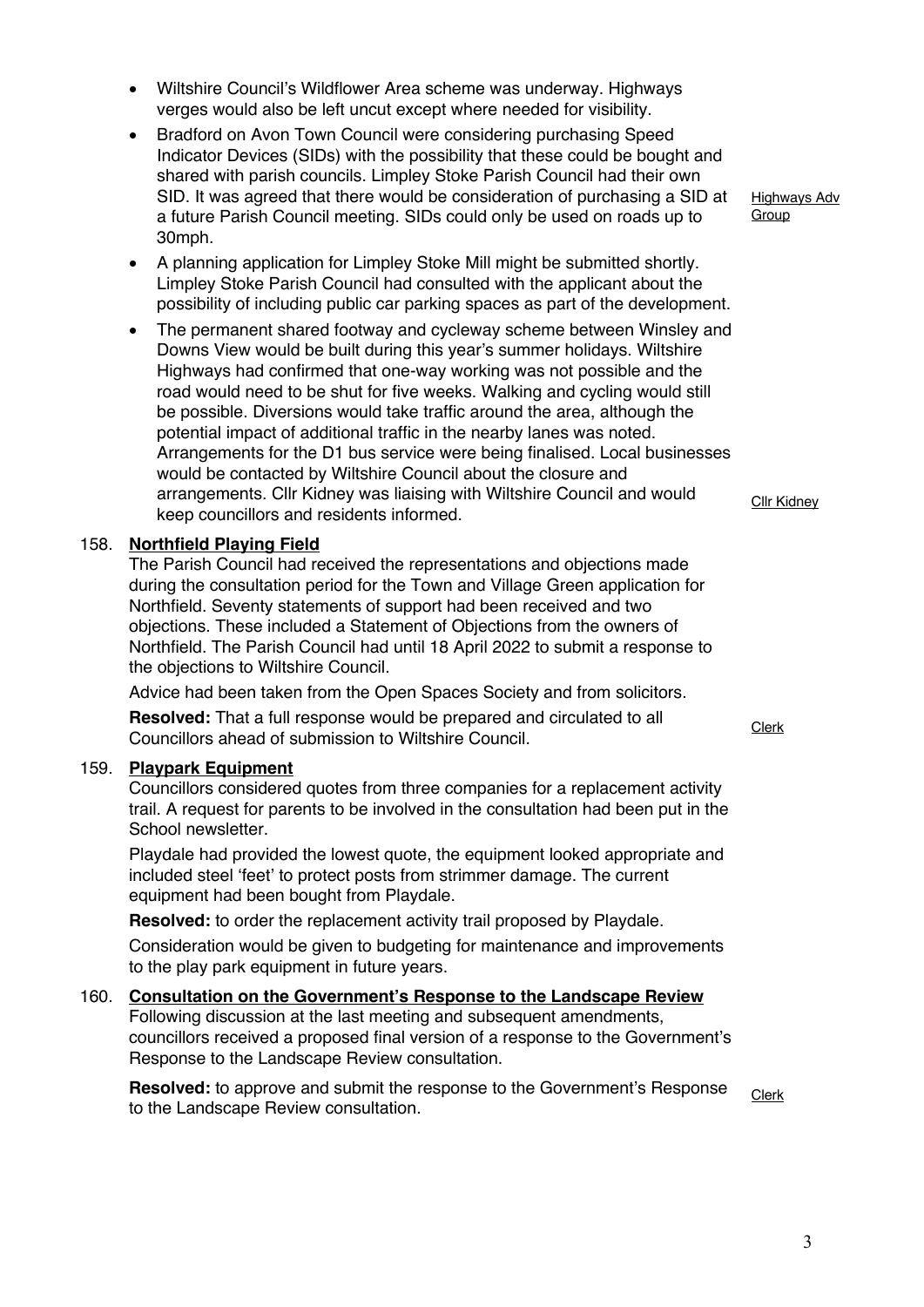- Wiltshire Council's Wildflower Area scheme was underway. Highways verges would also be left uncut except where needed for visibility.
- Bradford on Avon Town Council were considering purchasing Speed Indicator Devices (SIDs) with the possibility that these could be bought and shared with parish councils. Limpley Stoke Parish Council had their own SID. It was agreed that there would be consideration of purchasing a SID at a future Parish Council meeting. SIDs could only be used on roads up to 30mph.
- A planning application for Limpley Stoke Mill might be submitted shortly. Limpley Stoke Parish Council had consulted with the applicant about the possibility of including public car parking spaces as part of the development.
- The permanent shared footway and cycleway scheme between Winsley and Downs View would be built during this year's summer holidays. Wiltshire Highways had confirmed that one-way working was not possible and the road would need to be shut for five weeks. Walking and cycling would still be possible. Diversions would take traffic around the area, although the potential impact of additional traffic in the nearby lanes was noted. Arrangements for the D1 bus service were being finalised. Local businesses would be contacted by Wiltshire Council about the closure and arrangements. Cllr Kidney was liaising with Wiltshire Council and would keep councillors and residents informed.

# 158. **Northfield Playing Field**

The Parish Council had received the representations and objections made during the consultation period for the Town and Village Green application for Northfield. Seventy statements of support had been received and two objections. These included a Statement of Objections from the owners of Northfield. The Parish Council had until 18 April 2022 to submit a response to the objections to Wiltshire Council.

Advice had been taken from the Open Spaces Society and from solicitors.

**Resolved:** That a full response would be prepared and circulated to all **Councillors ahead of submission to Wiltshire Council.** Councillors ahead of submission to Wiltshire Council.

#### 159. **Playpark Equipment**

Councillors considered quotes from three companies for a replacement activity trail. A request for parents to be involved in the consultation had been put in the School newsletter.

Playdale had provided the lowest quote, the equipment looked appropriate and included steel 'feet' to protect posts from strimmer damage. The current equipment had been bought from Playdale.

**Resolved:** to order the replacement activity trail proposed by Playdale.

Consideration would be given to budgeting for maintenance and improvements to the play park equipment in future years.

# 160. **Consultation on the Government's Response to the Landscape Review**

Following discussion at the last meeting and subsequent amendments, councillors received a proposed final version of a response to the Government's Response to the Landscape Review consultation.

**Resolved:** to approve and submit the response to the Government's Response **Hesolvea:** to approve and submit the response to the Government s Hesponse  $\frac{\text{Clerk}}{\text{Clerk}}$ 

Highways Adv **Group** 

Cllr Kidney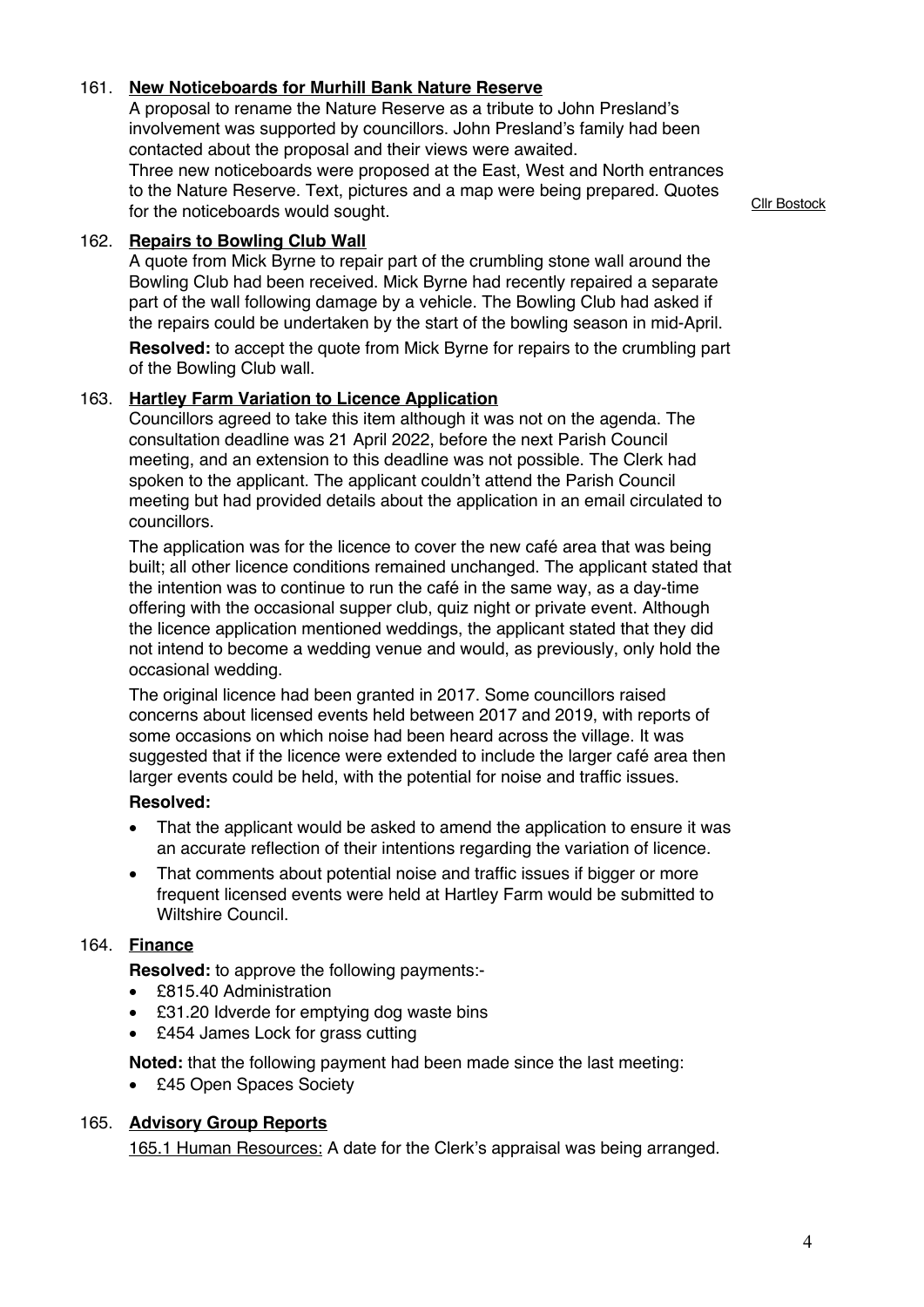# 161. **New Noticeboards for Murhill Bank Nature Reserve**

A proposal to rename the Nature Reserve as a tribute to John Presland's involvement was supported by councillors. John Presland's family had been contacted about the proposal and their views were awaited.

Three new noticeboards were proposed at the East, West and North entrances to the Nature Reserve. Text, pictures and a map were being prepared. Quotes for the noticeboards would sought.

# 162. **Repairs to Bowling Club Wall**

A quote from Mick Byrne to repair part of the crumbling stone wall around the Bowling Club had been received. Mick Byrne had recently repaired a separate part of the wall following damage by a vehicle. The Bowling Club had asked if the repairs could be undertaken by the start of the bowling season in mid-April.

**Resolved:** to accept the quote from Mick Byrne for repairs to the crumbling part of the Bowling Club wall.

## 163. **Hartley Farm Variation to Licence Application**

Councillors agreed to take this item although it was not on the agenda. The consultation deadline was 21 April 2022, before the next Parish Council meeting, and an extension to this deadline was not possible. The Clerk had spoken to the applicant. The applicant couldn't attend the Parish Council meeting but had provided details about the application in an email circulated to councillors.

The application was for the licence to cover the new café area that was being built; all other licence conditions remained unchanged. The applicant stated that the intention was to continue to run the café in the same way, as a day-time offering with the occasional supper club, quiz night or private event. Although the licence application mentioned weddings, the applicant stated that they did not intend to become a wedding venue and would, as previously, only hold the occasional wedding.

The original licence had been granted in 2017. Some councillors raised concerns about licensed events held between 2017 and 2019, with reports of some occasions on which noise had been heard across the village. It was suggested that if the licence were extended to include the larger café area then larger events could be held, with the potential for noise and traffic issues.

# **Resolved:**

- That the applicant would be asked to amend the application to ensure it was an accurate reflection of their intentions regarding the variation of licence.
- That comments about potential noise and traffic issues if bigger or more frequent licensed events were held at Hartley Farm would be submitted to Wiltshire Council.

# 164. **Finance**

**Resolved:** to approve the following payments:-

- £815.40 Administration
- £31.20 Idverde for emptying dog waste bins
- £454 James Lock for grass cutting

**Noted:** that the following payment had been made since the last meeting:

• £45 Open Spaces Society

# 165. **Advisory Group Reports**

165.1 Human Resources: A date for the Clerk's appraisal was being arranged.